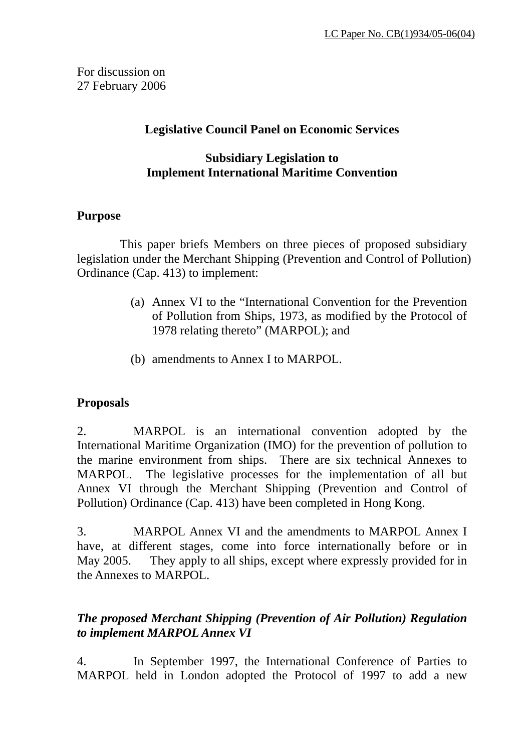For discussion on 27 February 2006

## **Legislative Council Panel on Economic Services**

## **Subsidiary Legislation to Implement International Maritime Convention**

## **Purpose**

 This paper briefs Members on three pieces of proposed subsidiary legislation under the Merchant Shipping (Prevention and Control of Pollution) Ordinance (Cap. 413) to implement:

- (a) Annex VI to the "International Convention for the Prevention of Pollution from Ships, 1973, as modified by the Protocol of 1978 relating thereto" (MARPOL); and
- (b) amendments to Annex I to MARPOL.

# **Proposals**

2. MARPOL is an international convention adopted by the International Maritime Organization (IMO) for the prevention of pollution to the marine environment from ships. There are six technical Annexes to MARPOL. The legislative processes for the implementation of all but Annex VI through the Merchant Shipping (Prevention and Control of Pollution) Ordinance (Cap. 413) have been completed in Hong Kong.

3. MARPOL Annex VI and the amendments to MARPOL Annex I have, at different stages, come into force internationally before or in May 2005. They apply to all ships, except where expressly provided for in the Annexes to MARPOL.

# *The proposed Merchant Shipping (Prevention of Air Pollution) Regulation to implement MARPOL Annex VI*

4. In September 1997, the International Conference of Parties to MARPOL held in London adopted the Protocol of 1997 to add a new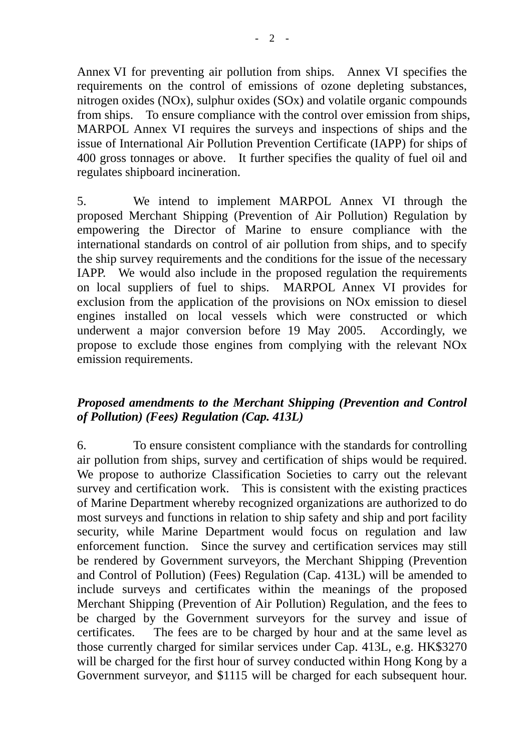Annex VI for preventing air pollution from ships. Annex VI specifies the requirements on the control of emissions of ozone depleting substances, nitrogen oxides (NOx), sulphur oxides (SOx) and volatile organic compounds from ships. To ensure compliance with the control over emission from ships, MARPOL Annex VI requires the surveys and inspections of ships and the issue of International Air Pollution Prevention Certificate (IAPP) for ships of 400 gross tonnages or above. It further specifies the quality of fuel oil and regulates shipboard incineration.

5. We intend to implement MARPOL Annex VI through the proposed Merchant Shipping (Prevention of Air Pollution) Regulation by empowering the Director of Marine to ensure compliance with the international standards on control of air pollution from ships, and to specify the ship survey requirements and the conditions for the issue of the necessary IAPP. We would also include in the proposed regulation the requirements on local suppliers of fuel to ships. MARPOL Annex VI provides for exclusion from the application of the provisions on NOx emission to diesel engines installed on local vessels which were constructed or which underwent a major conversion before 19 May 2005. Accordingly, we propose to exclude those engines from complying with the relevant NOx emission requirements.

# *Proposed amendments to the Merchant Shipping (Prevention and Control of Pollution) (Fees) Regulation (Cap. 413L)*

6. To ensure consistent compliance with the standards for controlling air pollution from ships, survey and certification of ships would be required. We propose to authorize Classification Societies to carry out the relevant survey and certification work. This is consistent with the existing practices of Marine Department whereby recognized organizations are authorized to do most surveys and functions in relation to ship safety and ship and port facility security, while Marine Department would focus on regulation and law enforcement function. Since the survey and certification services may still be rendered by Government surveyors, the Merchant Shipping (Prevention and Control of Pollution) (Fees) Regulation (Cap. 413L) will be amended to include surveys and certificates within the meanings of the proposed Merchant Shipping (Prevention of Air Pollution) Regulation, and the fees to be charged by the Government surveyors for the survey and issue of certificates. The fees are to be charged by hour and at the same level as those currently charged for similar services under Cap. 413L, e.g. HK\$3270 will be charged for the first hour of survey conducted within Hong Kong by a Government surveyor, and \$1115 will be charged for each subsequent hour.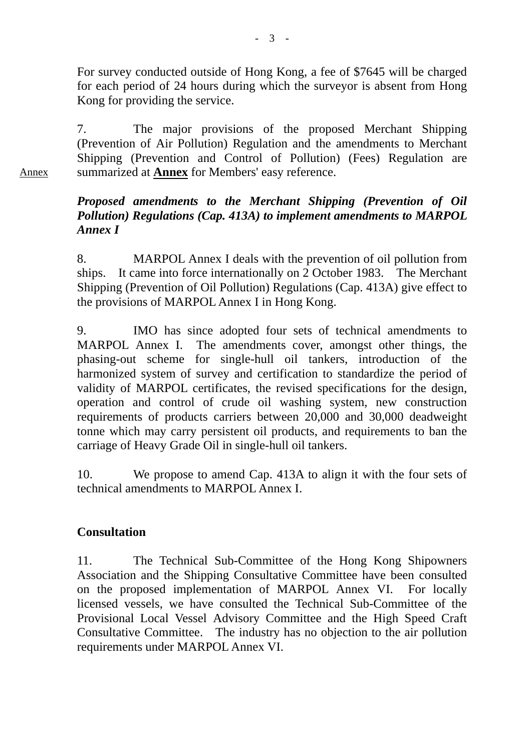For survey conducted outside of Hong Kong, a fee of \$7645 will be charged for each period of 24 hours during which the surveyor is absent from Hong Kong for providing the service.

7. The major provisions of the proposed Merchant Shipping (Prevention of Air Pollution) Regulation and the amendments to Merchant Shipping (Prevention and Control of Pollution) (Fees) Regulation are summarized at **Annex** for Members' easy reference.

## *Proposed amendments to the Merchant Shipping (Prevention of Oil Pollution) Regulations (Cap. 413A) to implement amendments to MARPOL Annex I*

8. MARPOL Annex I deals with the prevention of oil pollution from ships. It came into force internationally on 2 October 1983. The Merchant Shipping (Prevention of Oil Pollution) Regulations (Cap. 413A) give effect to the provisions of MARPOL Annex I in Hong Kong.

9. IMO has since adopted four sets of technical amendments to MARPOL Annex I. The amendments cover, amongst other things, the phasing-out scheme for single-hull oil tankers, introduction of the harmonized system of survey and certification to standardize the period of validity of MARPOL certificates, the revised specifications for the design, operation and control of crude oil washing system, new construction requirements of products carriers between 20,000 and 30,000 deadweight tonne which may carry persistent oil products, and requirements to ban the carriage of Heavy Grade Oil in single-hull oil tankers.

10. We propose to amend Cap. 413A to align it with the four sets of technical amendments to MARPOL Annex I.

# **Consultation**

Annex

11. The Technical Sub-Committee of the Hong Kong Shipowners Association and the Shipping Consultative Committee have been consulted on the proposed implementation of MARPOL Annex VI. For locally licensed vessels, we have consulted the Technical Sub-Committee of the Provisional Local Vessel Advisory Committee and the High Speed Craft Consultative Committee. The industry has no objection to the air pollution requirements under MARPOL Annex VI.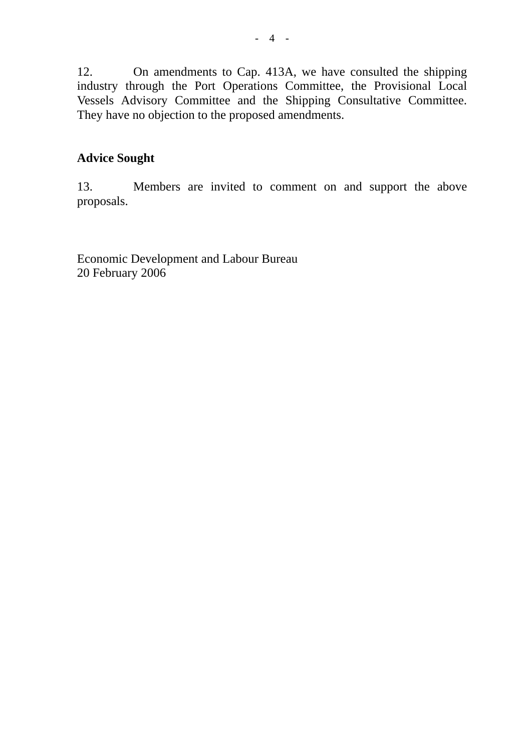12. On amendments to Cap. 413A, we have consulted the shipping industry through the Port Operations Committee, the Provisional Local Vessels Advisory Committee and the Shipping Consultative Committee. They have no objection to the proposed amendments.

## **Advice Sought**

13. Members are invited to comment on and support the above proposals.

Economic Development and Labour Bureau 20 February 2006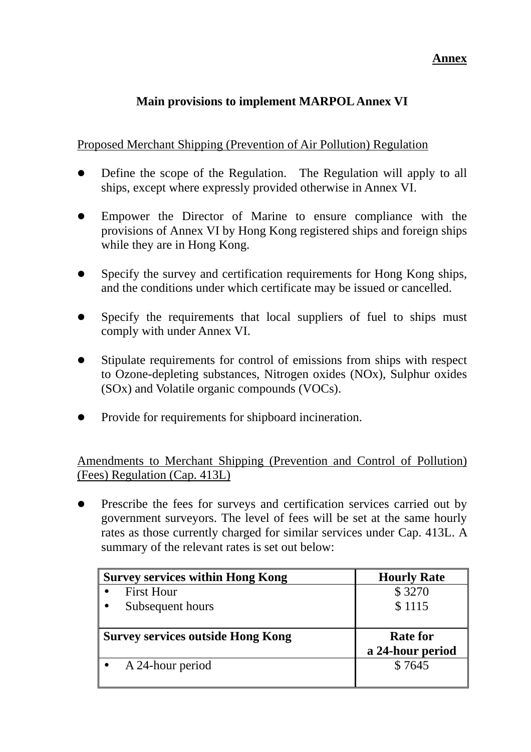#### **Annex**

# **Main provisions to implement MARPOL Annex VI**

## Proposed Merchant Shipping (Prevention of Air Pollution) Regulation

- ! Define the scope of the Regulation. The Regulation will apply to all ships, except where expressly provided otherwise in Annex VI.
- ! Empower the Director of Marine to ensure compliance with the provisions of Annex VI by Hong Kong registered ships and foreign ships while they are in Hong Kong.
- Specify the survey and certification requirements for Hong Kong ships, and the conditions under which certificate may be issued or cancelled.
- Specify the requirements that local suppliers of fuel to ships must comply with under Annex VI.
- ! Stipulate requirements for control of emissions from ships with respect to Ozone-depleting substances, Nitrogen oxides (NOx), Sulphur oxides (SOx) and Volatile organic compounds (VOCs).
- Provide for requirements for shipboard incineration.

Amendments to Merchant Shipping (Prevention and Control of Pollution) (Fees) Regulation (Cap. 413L)

! Prescribe the fees for surveys and certification services carried out by government surveyors. The level of fees will be set at the same hourly rates as those currently charged for similar services under Cap. 413L. A summary of the relevant rates is set out below:

| <b>Survey services within Hong Kong</b>  | <b>Hourly Rate</b> |
|------------------------------------------|--------------------|
| <b>First Hour</b><br>$\bullet$           | \$3270             |
| Subsequent hours<br>$\bullet$            | \$1115             |
|                                          |                    |
|                                          |                    |
| <b>Survey services outside Hong Kong</b> | Rate for           |
|                                          | a 24-hour period   |
| A 24-hour period                         | \$7645             |